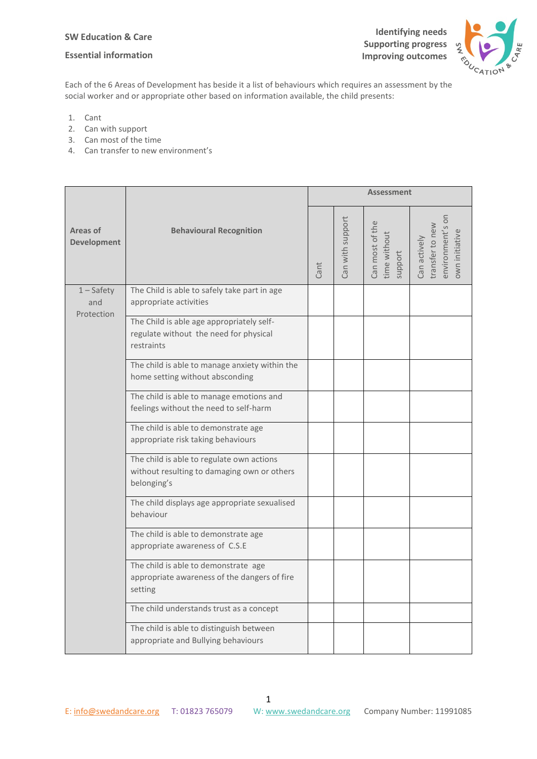### **SW Education & Care**

### **Essential information**



Each of the 6 Areas of Development has beside it a list of behaviours which requires an assessment by the social worker and or appropriate other based on information available, the child presents:

- 1. Cant
- 2. Can with support
- 3. Can most of the time
- 4. Can transfer to new environment's

| Areas of<br><b>Development</b>    | <b>Behavioural Recognition</b>                                                                          | <b>Assessment</b> |                  |                                            |                                                                       |
|-----------------------------------|---------------------------------------------------------------------------------------------------------|-------------------|------------------|--------------------------------------------|-----------------------------------------------------------------------|
|                                   |                                                                                                         | Cant              | Can with support | Can most of the<br>time without<br>support | environment's or<br>transfer to new<br>own initiative<br>Can actively |
| $1 -$ Safety<br>and<br>Protection | The Child is able to safely take part in age<br>appropriate activities                                  |                   |                  |                                            |                                                                       |
|                                   | The Child is able age appropriately self-<br>regulate without the need for physical<br>restraints       |                   |                  |                                            |                                                                       |
|                                   | The child is able to manage anxiety within the<br>home setting without absconding                       |                   |                  |                                            |                                                                       |
|                                   | The child is able to manage emotions and<br>feelings without the need to self-harm                      |                   |                  |                                            |                                                                       |
|                                   | The child is able to demonstrate age<br>appropriate risk taking behaviours                              |                   |                  |                                            |                                                                       |
|                                   | The child is able to regulate own actions<br>without resulting to damaging own or others<br>belonging's |                   |                  |                                            |                                                                       |
|                                   | The child displays age appropriate sexualised<br>behaviour                                              |                   |                  |                                            |                                                                       |
|                                   | The child is able to demonstrate age<br>appropriate awareness of C.S.E                                  |                   |                  |                                            |                                                                       |
|                                   | The child is able to demonstrate age<br>appropriate awareness of the dangers of fire<br>setting         |                   |                  |                                            |                                                                       |
|                                   | The child understands trust as a concept                                                                |                   |                  |                                            |                                                                       |
|                                   | The child is able to distinguish between<br>appropriate and Bullying behaviours                         |                   |                  |                                            |                                                                       |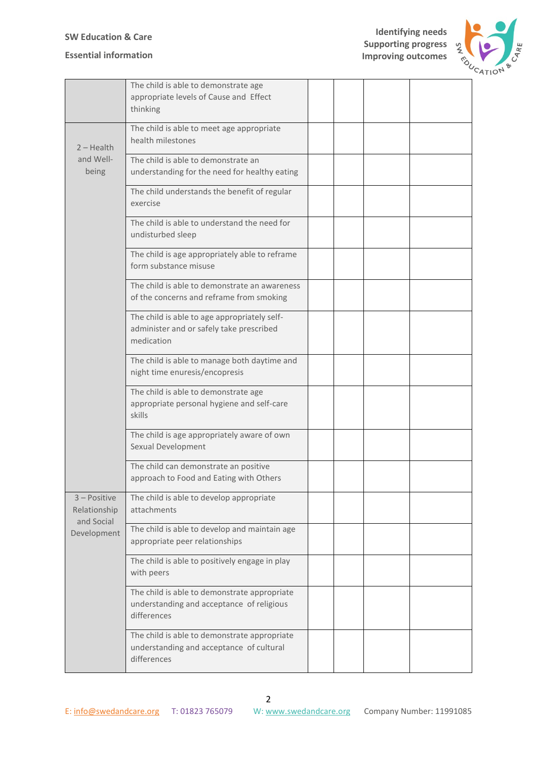# **Essential information**

**Identifying needs Supporting progress Improving outcomes**



|                                                             | The child is able to demonstrate age<br>appropriate levels of Cause and Effect<br>thinking               |  |  |
|-------------------------------------------------------------|----------------------------------------------------------------------------------------------------------|--|--|
| $2 - Health$<br>and Well-<br>being                          | The child is able to meet age appropriate<br>health milestones                                           |  |  |
|                                                             | The child is able to demonstrate an<br>understanding for the need for healthy eating                     |  |  |
|                                                             | The child understands the benefit of regular<br>exercise                                                 |  |  |
|                                                             | The child is able to understand the need for<br>undisturbed sleep                                        |  |  |
|                                                             | The child is age appropriately able to reframe<br>form substance misuse                                  |  |  |
|                                                             | The child is able to demonstrate an awareness<br>of the concerns and reframe from smoking                |  |  |
|                                                             | The child is able to age appropriately self-<br>administer and or safely take prescribed<br>medication   |  |  |
|                                                             | The child is able to manage both daytime and<br>night time enuresis/encopresis                           |  |  |
|                                                             | The child is able to demonstrate age<br>appropriate personal hygiene and self-care<br>skills             |  |  |
|                                                             | The child is age appropriately aware of own<br>Sexual Development                                        |  |  |
|                                                             | The child can demonstrate an positive<br>approach to Food and Eating with Others                         |  |  |
| $3 - Positive$<br>Relationship<br>and Social<br>Development | The child is able to develop appropriate<br>attachments                                                  |  |  |
|                                                             | The child is able to develop and maintain age<br>appropriate peer relationships                          |  |  |
|                                                             | The child is able to positively engage in play<br>with peers                                             |  |  |
|                                                             | The child is able to demonstrate appropriate<br>understanding and acceptance of religious<br>differences |  |  |
|                                                             | The child is able to demonstrate appropriate<br>understanding and acceptance of cultural<br>differences  |  |  |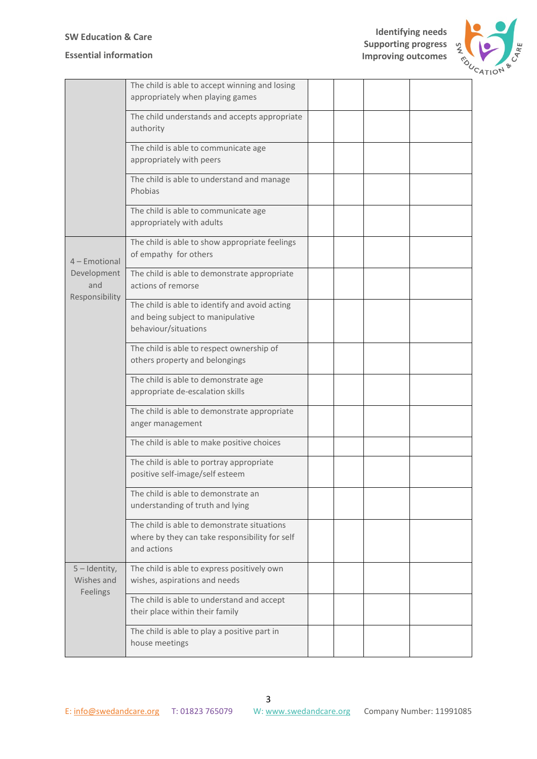# **Essential information**

**Identifying needs Supporting progress Improving outcomes**



|                                                       | The child is able to accept winning and losing<br>appropriately when playing games                           |  |  |
|-------------------------------------------------------|--------------------------------------------------------------------------------------------------------------|--|--|
|                                                       | The child understands and accepts appropriate<br>authority                                                   |  |  |
|                                                       | The child is able to communicate age<br>appropriately with peers                                             |  |  |
|                                                       | The child is able to understand and manage<br>Phobias                                                        |  |  |
|                                                       | The child is able to communicate age<br>appropriately with adults                                            |  |  |
| 4 - Emotional<br>Development<br>and<br>Responsibility | The child is able to show appropriate feelings<br>of empathy for others                                      |  |  |
|                                                       | The child is able to demonstrate appropriate<br>actions of remorse                                           |  |  |
|                                                       | The child is able to identify and avoid acting<br>and being subject to manipulative<br>behaviour/situations  |  |  |
|                                                       | The child is able to respect ownership of<br>others property and belongings                                  |  |  |
|                                                       | The child is able to demonstrate age<br>appropriate de-escalation skills                                     |  |  |
|                                                       | The child is able to demonstrate appropriate<br>anger management                                             |  |  |
|                                                       | The child is able to make positive choices                                                                   |  |  |
|                                                       | The child is able to portray appropriate<br>positive self-image/self esteem                                  |  |  |
|                                                       | The child is able to demonstrate an<br>understanding of truth and lying                                      |  |  |
|                                                       | The child is able to demonstrate situations<br>where by they can take responsibility for self<br>and actions |  |  |
| $5$ – Identity,<br>Wishes and<br>Feelings             | The child is able to express positively own<br>wishes, aspirations and needs                                 |  |  |
|                                                       | The child is able to understand and accept<br>their place within their family                                |  |  |
|                                                       | The child is able to play a positive part in<br>house meetings                                               |  |  |